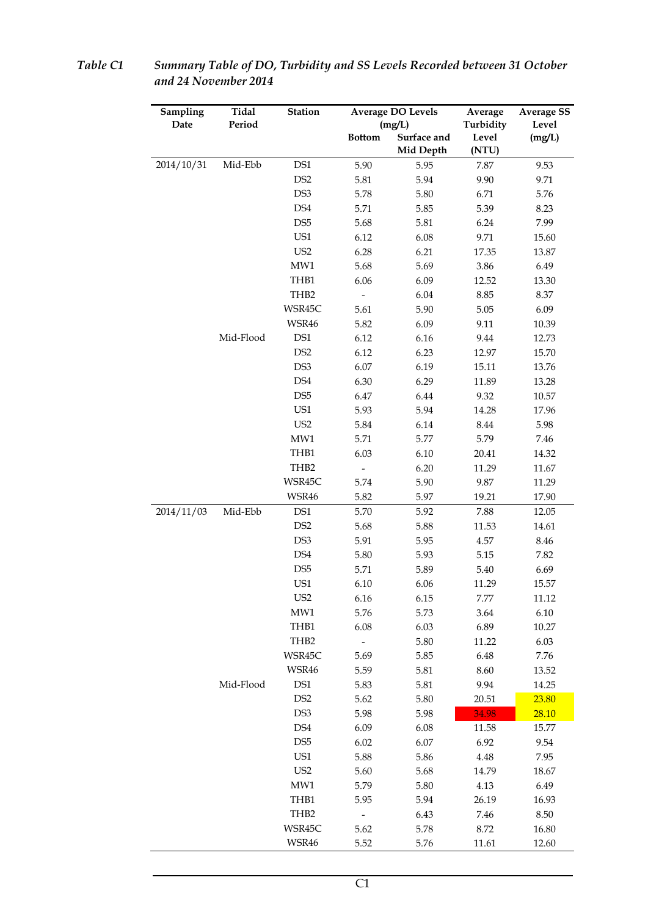| Sampling   | Tidal     | Station<br><b>Average DO Levels</b> |                          | Average     | <b>Average SS</b> |        |
|------------|-----------|-------------------------------------|--------------------------|-------------|-------------------|--------|
| Date       | Period    |                                     |                          | (mg/L)      | Turbidity         | Level  |
|            |           |                                     | <b>Bottom</b>            | Surface and | Level             | (mg/L) |
|            |           |                                     |                          | Mid Depth   | (NTU)             |        |
| 2014/10/31 | Mid-Ebb   | DS1                                 | 5.90                     | 5.95        | 7.87              | 9.53   |
|            |           | DS <sub>2</sub>                     | 5.81                     | 5.94        | 9.90              | 9.71   |
|            |           | DS3                                 | 5.78                     | 5.80        | 6.71              | 5.76   |
|            |           | DS4                                 | 5.71                     | 5.85        | 5.39              | 8.23   |
|            |           | DS <sub>5</sub>                     | 5.68                     | 5.81        | 6.24              | 7.99   |
|            |           | US1                                 | 6.12                     | 6.08        | 9.71              | 15.60  |
|            |           | US <sub>2</sub>                     | 6.28                     | 6.21        | 17.35             | 13.87  |
|            |           | MW1                                 | 5.68                     | 5.69        | 3.86              | 6.49   |
|            |           | THB1                                | 6.06                     | 6.09        | 12.52             | 13.30  |
|            |           | THB <sub>2</sub>                    | $\overline{\phantom{0}}$ | 6.04        | 8.85              | 8.37   |
|            |           | WSR45C                              | 5.61                     | 5.90        | 5.05              | 6.09   |
|            |           | WSR46                               | 5.82                     | 6.09        | 9.11              | 10.39  |
|            | Mid-Flood | DS1                                 | 6.12                     | 6.16        | 9.44              | 12.73  |
|            |           | DS <sub>2</sub>                     | 6.12                     | 6.23        | 12.97             | 15.70  |
|            |           | DS3                                 | 6.07                     | 6.19        | 15.11             | 13.76  |
|            |           | DS4                                 | 6.30                     | 6.29        | 11.89             | 13.28  |
|            |           | DS <sub>5</sub>                     | $6.47\,$                 | 6.44        | 9.32              | 10.57  |
|            |           | US1                                 | 5.93                     | 5.94        | 14.28             | 17.96  |
|            |           | US <sub>2</sub>                     | 5.84                     | 6.14        | 8.44              | 5.98   |
|            |           | MW1                                 | 5.71                     | 5.77        | 5.79              | 7.46   |
|            |           | THB1                                | 6.03                     | 6.10        | 20.41             | 14.32  |
|            |           | THB <sub>2</sub>                    |                          | 6.20        | 11.29             | 11.67  |
|            |           | WSR45C                              | 5.74                     | 5.90        | 9.87              | 11.29  |
|            |           | WSR46                               | 5.82                     | 5.97        | 19.21             | 17.90  |
| 2014/11/03 | Mid-Ebb   | DS1                                 | 5.70                     | 5.92        | 7.88              | 12.05  |
|            |           | DS <sub>2</sub>                     | 5.68                     | 5.88        | 11.53             | 14.61  |
|            |           | DS3                                 | 5.91                     | 5.95        | 4.57              | 8.46   |
|            |           | DS4                                 | 5.80                     | 5.93        | 5.15              | 7.82   |
|            |           | DS <sub>5</sub>                     | 5.71                     | 5.89        | 5.40              | 6.69   |
|            |           | US1                                 |                          | 6.06        |                   | 15.57  |
|            |           | US <sub>2</sub>                     | 6.10                     |             | 11.29             |        |
|            |           | MW1                                 | 6.16                     | 6.15        | 7.77              | 11.12  |
|            |           | THB1                                | 5.76                     | 5.73        | 3.64              | 6.10   |
|            |           |                                     | 6.08                     | 6.03        | 6.89              | 10.27  |
|            |           | THB <sub>2</sub>                    | $\overline{\phantom{0}}$ | 5.80        | 11.22             | 6.03   |
|            |           | WSR45C                              | 5.69                     | 5.85        | 6.48              | 7.76   |
|            |           | WSR46                               | 5.59                     | 5.81        | 8.60              | 13.52  |
|            | Mid-Flood | DS1                                 | 5.83                     | 5.81        | 9.94              | 14.25  |
|            |           | DS <sub>2</sub>                     | 5.62                     | 5.80        | 20.51             | 23.80  |
|            |           | DS3                                 | 5.98                     | 5.98        | 34.98             | 28.10  |
|            |           | DS4                                 | 6.09                     | 6.08        | 11.58             | 15.77  |
|            |           | DS <sub>5</sub>                     | 6.02                     | 6.07        | 6.92              | 9.54   |
|            |           | US1                                 | 5.88                     | 5.86        | 4.48              | 7.95   |
|            |           | US <sub>2</sub>                     | 5.60                     | 5.68        | 14.79             | 18.67  |
|            |           | MW1                                 | 5.79                     | 5.80        | 4.13              | 6.49   |
|            |           | THB1                                | 5.95                     | 5.94        | 26.19             | 16.93  |
|            |           | THB2                                | $\overline{\phantom{0}}$ | 6.43        | 7.46              | 8.50   |
|            |           | WSR45C                              | 5.62                     | 5.78        | 8.72              | 16.80  |
|            |           | WSR46                               | 5.52                     | 5.76        | 11.61             | 12.60  |

*Table C1 Summary Table of DO, Turbidity and SS Levels Recorded between 31 October and 24 November 2014*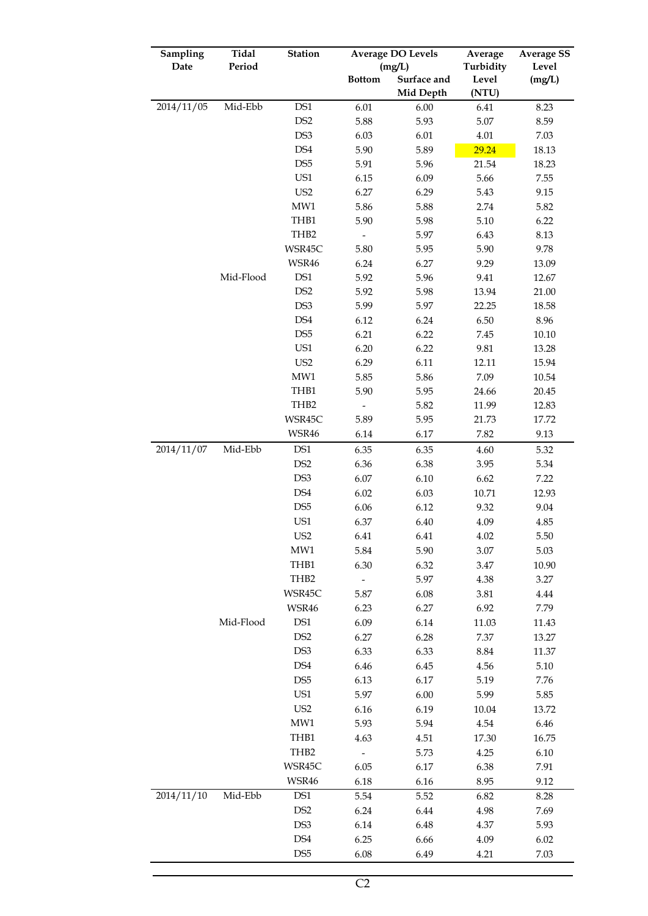| Sampling   | Tidal     | <b>Station</b>                   |                          | <b>Average DO Levels</b> |           | <b>Average SS</b> |  |
|------------|-----------|----------------------------------|--------------------------|--------------------------|-----------|-------------------|--|
| Date       | Period    |                                  |                          | (mg/L)                   | Turbidity | Level             |  |
|            |           |                                  | <b>Bottom</b>            | Surface and              | Level     | (mg/L)            |  |
|            |           |                                  |                          | Mid Depth                | (NTU)     |                   |  |
| 2014/11/05 | Mid-Ebb   | DS1                              | 6.01                     | 6.00                     | 6.41      | 8.23              |  |
|            |           | DS <sub>2</sub>                  | 5.88                     | 5.93                     | 5.07      | 8.59              |  |
|            |           | DS3                              | 6.03                     | 6.01                     | 4.01      | 7.03              |  |
|            |           | DS4                              | 5.90                     | 5.89                     | 29.24     | 18.13             |  |
|            |           | DS <sub>5</sub>                  | 5.91                     | 5.96                     | 21.54     | 18.23             |  |
|            |           | US1                              | 6.15                     | 6.09                     | 5.66      | 7.55              |  |
|            |           | US <sub>2</sub>                  | 6.27                     | 6.29                     | 5.43      | 9.15              |  |
|            |           | $\ensuremath{\text{MW1}}\xspace$ | 5.86                     | 5.88                     | 2.74      | 5.82              |  |
|            |           | THB1                             | 5.90                     | 5.98                     | 5.10      | 6.22              |  |
|            |           | THB <sub>2</sub>                 | $\overline{\phantom{0}}$ | 5.97                     | 6.43      | 8.13              |  |
|            |           | WSR45C                           | 5.80                     | 5.95                     | 5.90      | 9.78              |  |
|            |           | WSR46                            | 6.24                     | 6.27                     | 9.29      | 13.09             |  |
|            | Mid-Flood | DS1                              | 5.92                     | 5.96                     | 9.41      | 12.67             |  |
|            |           | DS <sub>2</sub>                  | 5.92                     | 5.98                     | 13.94     | 21.00             |  |
|            |           | DS3                              | 5.99                     | 5.97                     | 22.25     | 18.58             |  |
|            |           | DS4                              | 6.12                     | 6.24                     | 6.50      | 8.96              |  |
|            |           | DS <sub>5</sub>                  | 6.21                     | 6.22                     | 7.45      | 10.10             |  |
|            |           | US1                              | 6.20                     | 6.22                     | 9.81      | 13.28             |  |
|            |           | US <sub>2</sub>                  | 6.29                     | 6.11                     | 12.11     | 15.94             |  |
|            |           | $\ensuremath{\text{MW1}}\xspace$ | 5.85                     | 5.86                     | 7.09      | 10.54             |  |
|            |           | THB1                             | 5.90                     | 5.95                     | 24.66     | 20.45             |  |
|            |           | THB <sub>2</sub>                 |                          | 5.82                     | 11.99     | 12.83             |  |
|            |           | WSR45C                           | 5.89                     | 5.95                     | 21.73     | 17.72             |  |
|            |           | WSR46                            | 6.14                     | 6.17                     | 7.82      | 9.13              |  |
| 2014/11/07 | Mid-Ebb   | DS1                              | 6.35                     | 6.35                     | 4.60      | 5.32              |  |
|            |           | DS <sub>2</sub>                  | 6.36                     | 6.38                     | 3.95      | 5.34              |  |
|            |           | DS3                              | 6.07                     | 6.10                     | 6.62      | 7.22              |  |
|            |           | DS4                              | 6.02                     | 6.03                     | 10.71     | 12.93             |  |
|            |           | DS <sub>5</sub>                  | 6.06                     | 6.12                     | 9.32      | 9.04              |  |
|            |           | US1                              | 6.37                     | 6.40                     | 4.09      | 4.85              |  |
|            |           | US <sub>2</sub>                  | 6.41                     | 6.41                     | 4.02      | 5.50              |  |
|            |           | MW1                              | 5.84                     | 5.90                     | $3.07\,$  | 5.03              |  |
|            |           | THB1                             | 6.30                     | 6.32                     | $3.47\,$  | 10.90             |  |
|            |           | THB2                             | $\overline{\phantom{a}}$ | 5.97                     | 4.38      | 3.27              |  |
|            |           | WSR45C                           | 5.87                     | 6.08                     | 3.81      | 4.44              |  |
|            |           | WSR46                            | 6.23                     | 6.27                     | 6.92      | 7.79              |  |
|            | Mid-Flood | DS1                              | 6.09                     | 6.14                     | 11.03     | 11.43             |  |
|            |           | DS <sub>2</sub>                  | 6.27                     | 6.28                     | 7.37      | 13.27             |  |
|            |           | DS3                              | 6.33                     | 6.33                     | 8.84      | 11.37             |  |
|            |           | DS4                              | 6.46                     | 6.45                     | 4.56      | 5.10              |  |
|            |           | DS <sub>5</sub>                  | 6.13                     | 6.17                     | 5.19      | 7.76              |  |
|            |           | US1                              | 5.97                     | 6.00                     | 5.99      | 5.85              |  |
|            |           | US <sub>2</sub>                  | 6.16                     | 6.19                     | 10.04     | 13.72             |  |
|            |           | MW1                              | 5.93                     | 5.94                     | 4.54      | 6.46              |  |
|            |           | TH <sub>B1</sub>                 | 4.63                     | 4.51                     | 17.30     | 16.75             |  |
|            |           | THB2                             | $\overline{\phantom{a}}$ | 5.73                     | 4.25      | 6.10              |  |
|            |           | WSR45C                           | 6.05                     | 6.17                     | 6.38      | 7.91              |  |
|            |           | WSR46                            | 6.18                     | 6.16                     | 8.95      | 9.12              |  |
| 2014/11/10 | Mid-Ebb   |                                  |                          |                          |           |                   |  |
|            |           | DS1                              | 5.54                     | 5.52                     | 6.82      | 8.28              |  |
|            |           | DS <sub>2</sub>                  | 6.24                     | 6.44                     | 4.98      | 7.69              |  |
|            |           | DS3                              | 6.14                     | 6.48                     | 4.37      | 5.93              |  |
|            |           | DS4                              | 6.25                     | 6.66                     | 4.09      | 6.02              |  |
|            |           | DS <sub>5</sub>                  | 6.08                     | 6.49                     | 4.21      | 7.03              |  |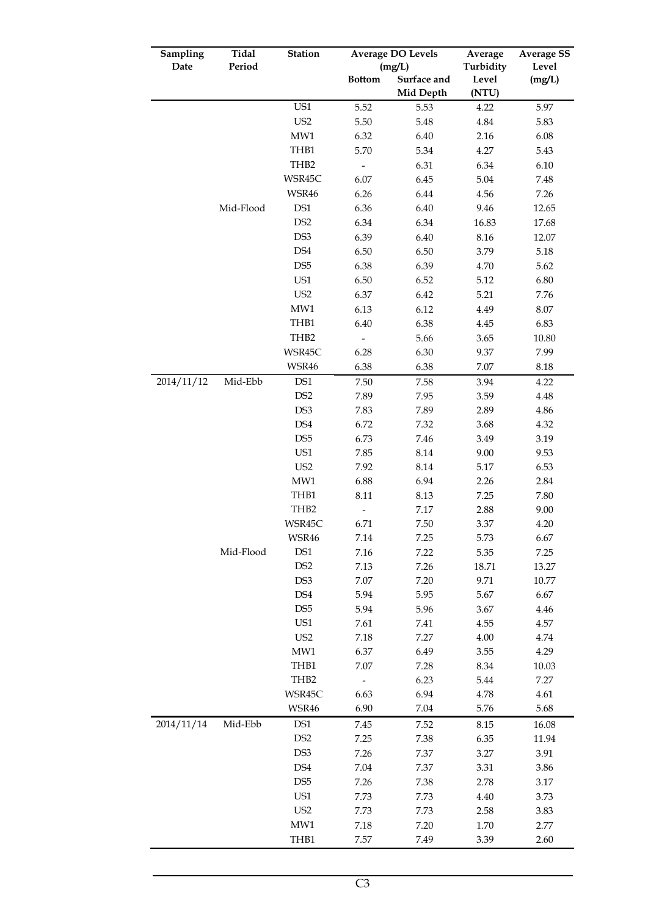| Sampling   | Tidal     | <b>Station</b>  | <b>Average DO Levels</b> |             | Average   | <b>Average SS</b> |  |
|------------|-----------|-----------------|--------------------------|-------------|-----------|-------------------|--|
| Date       | Period    |                 |                          | (mg/L)      | Turbidity | Level             |  |
|            |           |                 | <b>Bottom</b>            | Surface and | Level     | (mg/L)            |  |
|            |           |                 |                          | Mid Depth   | (NTU)     |                   |  |
|            |           | US1             | 5.52                     | 5.53        | 4.22      | 5.97              |  |
|            |           | US <sub>2</sub> | 5.50                     | 5.48        | 4.84      | 5.83              |  |
|            |           | MW1             | 6.32                     | 6.40        | 2.16      | 6.08              |  |
|            |           | THB1            | 5.70                     | 5.34        | 4.27      | 5.43              |  |
|            |           | THB2            |                          | 6.31        | 6.34      | 6.10              |  |
|            |           | WSR45C          | 6.07                     | 6.45        | 5.04      | 7.48              |  |
|            |           | WSR46           | 6.26                     | 6.44        | 4.56      | 7.26              |  |
|            | Mid-Flood | DS1             | 6.36                     | 6.40        | 9.46      | 12.65             |  |
|            |           | DS <sub>2</sub> | 6.34                     | 6.34        | 16.83     | 17.68             |  |
|            |           | DS3             | 6.39                     | 6.40        | 8.16      | 12.07             |  |
|            |           | DS4             | 6.50                     | 6.50        | 3.79      | 5.18              |  |
|            |           | DS <sub>5</sub> | 6.38                     | 6.39        | 4.70      | 5.62              |  |
|            |           | US1             | 6.50                     | 6.52        | 5.12      | 6.80              |  |
|            |           | US <sub>2</sub> | 6.37                     | 6.42        | 5.21      | 7.76              |  |
|            |           | MW1             | 6.13                     | 6.12        | 4.49      | $8.07\,$          |  |
|            |           | THB1            | 6.40                     | 6.38        | 4.45      | 6.83              |  |
|            |           | THB2            | $\overline{a}$           | 5.66        | 3.65      | 10.80             |  |
|            |           | WSR45C          | 6.28                     | 6.30        | 9.37      | 7.99              |  |
|            |           | WSR46           | 6.38                     | 6.38        | 7.07      | 8.18              |  |
| 2014/11/12 | Mid-Ebb   | DS1             | 7.50                     | 7.58        | 3.94      | 4.22              |  |
|            |           | DS <sub>2</sub> | 7.89                     | 7.95        | 3.59      | 4.48              |  |
|            |           | DS3             | 7.83                     | 7.89        | 2.89      | 4.86              |  |
|            |           | DS4             | 6.72                     | 7.32        | 3.68      | 4.32              |  |
|            |           | DS <sub>5</sub> | 6.73                     | 7.46        | 3.49      | 3.19              |  |
|            |           | US1             | 7.85                     | 8.14        | 9.00      | 9.53              |  |
|            |           | US <sub>2</sub> | 7.92                     | 8.14        | 5.17      | 6.53              |  |
|            |           | MW1             | 6.88                     | 6.94        | 2.26      | 2.84              |  |
|            |           | THB1            | 8.11                     | 8.13        | 7.25      | 7.80              |  |
|            |           | THB2            |                          | 7.17        | 2.88      | 9.00              |  |
|            |           | WSR45C          | 6.71                     | 7.50        | 3.37      | 4.20              |  |
|            |           | WSR46           | 7.14                     | 7.25        | 5.73      | 6.67              |  |
|            | Mid-Flood | DS1             | 7.16                     | 7.22        | 5.35      | 7.25              |  |
|            |           | DS <sub>2</sub> | 7.13                     | 7.26        | 18.71     | 13.27             |  |
|            |           | DS3             | 7.07                     | 7.20        | 9.71      | 10.77             |  |
|            |           | DS4             | 5.94                     | 5.95        | 5.67      | 6.67              |  |
|            |           | DS <sub>5</sub> | 5.94                     | 5.96        | 3.67      | 4.46              |  |
|            |           | US1             | 7.61                     | 7.41        | 4.55      | 4.57              |  |
|            |           | US <sub>2</sub> | 7.18                     | 7.27        | 4.00      | 4.74              |  |
|            |           | MW1             | 6.37                     | 6.49        | 3.55      | 4.29              |  |
|            |           | THB1            | 7.07                     | 7.28        | 8.34      | 10.03             |  |
|            |           | THB2            |                          | 6.23        | 5.44      | 7.27              |  |
|            |           | WSR45C          | 6.63                     | 6.94        | 4.78      | 4.61              |  |
|            |           | WSR46           | 6.90                     | 7.04        | 5.76      | 5.68              |  |
| 2014/11/14 | Mid-Ebb   | DS1             | 7.45                     | 7.52        | 8.15      | 16.08             |  |
|            |           | DS <sub>2</sub> | 7.25                     | 7.38        | 6.35      | 11.94             |  |
|            |           | DS3             | 7.26                     | 7.37        | 3.27      | 3.91              |  |
|            |           | DS4             | 7.04                     | 7.37        | 3.31      | 3.86              |  |
|            |           | DS <sub>5</sub> | 7.26                     | 7.38        | 2.78      | 3.17              |  |
|            |           | US1             | 7.73                     | 7.73        | 4.40      | 3.73              |  |
|            |           | US <sub>2</sub> | 7.73                     | 7.73        | 2.58      | 3.83              |  |
|            |           | MW1             | 7.18                     | 7.20        | 1.70      | 2.77              |  |
|            |           | THB1            | 7.57                     | 7.49        | 3.39      | 2.60              |  |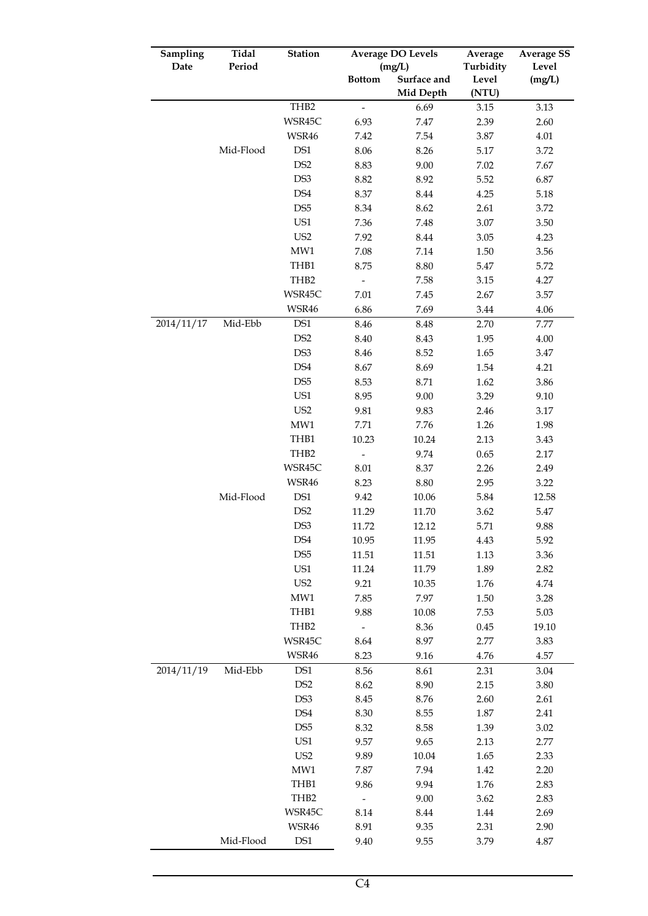| Sampling   | Tidal     | <b>Station</b>              | <b>Average DO Levels</b> |                  | Average   | <b>Average SS</b> |  |
|------------|-----------|-----------------------------|--------------------------|------------------|-----------|-------------------|--|
| Date       | Period    |                             |                          | (mg/L)           | Turbidity | Level             |  |
|            |           |                             | <b>Bottom</b>            | Surface and      | Level     | (mg/L)            |  |
|            |           |                             |                          | <b>Mid Depth</b> | (NTU)     |                   |  |
|            |           | THB2                        | $\qquad \qquad -$        | 6.69             | 3.15      | 3.13              |  |
|            |           | WSR45C                      | 6.93                     | 7.47             | 2.39      | 2.60              |  |
|            |           | WSR46                       | 7.42                     | 7.54             | 3.87      | 4.01              |  |
|            | Mid-Flood | DS1                         | 8.06                     | 8.26             | 5.17      | 3.72              |  |
|            |           | DS <sub>2</sub>             | 8.83                     | 9.00             | 7.02      | 7.67              |  |
|            |           | DS3                         | 8.82                     | 8.92             | 5.52      | 6.87              |  |
|            |           | DS4                         | 8.37                     | 8.44             | 4.25      | 5.18              |  |
|            |           | DS <sub>5</sub>             | 8.34                     | 8.62             | 2.61      | 3.72              |  |
|            |           | US1                         | 7.36                     | 7.48             | 3.07      | 3.50              |  |
|            |           | US <sub>2</sub>             | 7.92                     | 8.44             | 3.05      | 4.23              |  |
|            |           | MW1                         | 7.08                     | 7.14             | 1.50      | 3.56              |  |
|            |           | THB1                        | 8.75                     | 8.80             | 5.47      | 5.72              |  |
|            |           | THB2                        | $\overline{\phantom{a}}$ | 7.58             | 3.15      | 4.27              |  |
|            |           | WSR45C                      | 7.01                     | 7.45             | 2.67      | 3.57              |  |
|            |           | WSR46                       | 6.86                     | 7.69             | 3.44      | 4.06              |  |
| 2014/11/17 | Mid-Ebb   | DS1                         | 8.46                     | 8.48             | 2.70      | 7.77              |  |
|            |           | DS <sub>2</sub>             | 8.40                     | 8.43             | 1.95      | 4.00              |  |
|            |           | DS3                         | 8.46                     | 8.52             | 1.65      | 3.47              |  |
|            |           | DS4                         | 8.67                     | 8.69             | 1.54      | 4.21              |  |
|            |           | DS <sub>5</sub>             | 8.53                     | 8.71             | 1.62      | 3.86              |  |
|            |           | US1                         | 8.95                     | 9.00             | 3.29      | 9.10              |  |
|            |           | US <sub>2</sub>             | 9.81                     | 9.83             | 2.46      | 3.17              |  |
|            |           | MW1                         | 7.71                     | 7.76             | 1.26      | 1.98              |  |
|            |           | THB1                        | 10.23                    | 10.24            | 2.13      | 3.43              |  |
|            |           | THB <sub>2</sub>            |                          | 9.74             | 0.65      | 2.17              |  |
|            |           | WSR45C                      | 8.01                     | 8.37             | 2.26      | 2.49              |  |
|            |           | WSR46                       | 8.23                     | 8.80             | 2.95      | 3.22              |  |
|            | Mid-Flood | $\mathop{\rm DS}\nolimits1$ | 9.42                     | 10.06            | 5.84      | 12.58             |  |
|            |           | DS <sub>2</sub>             | 11.29                    | 11.70            | 3.62      | 5.47              |  |
|            |           | DS3                         | 11.72                    | 12.12            | 5.71      | 9.88              |  |
|            |           | DS4                         | 10.95                    | 11.95            | 4.43      | 5.92              |  |
|            |           | DS <sub>5</sub>             | 11.51                    | 11.51            | 1.13      | 3.36              |  |
|            |           | US1                         | 11.24                    | 11.79            | 1.89      | 2.82              |  |
|            |           | US <sub>2</sub>             | 9.21                     | 10.35            | 1.76      | 4.74              |  |
|            |           | MW1                         | 7.85                     | 7.97             | 1.50      | 3.28              |  |
|            |           | THB1                        | 9.88                     | 10.08            | 7.53      | 5.03              |  |
|            |           | THB <sub>2</sub>            |                          | 8.36             | 0.45      | 19.10             |  |
|            |           | WSR45C                      | 8.64                     | 8.97             | 2.77      | 3.83              |  |
|            |           | WSR46                       | 8.23                     | 9.16             | 4.76      | 4.57              |  |
| 2014/11/19 | Mid-Ebb   | DS1                         | 8.56                     | 8.61             | 2.31      | 3.04              |  |
|            |           | DS <sub>2</sub>             | 8.62                     | 8.90             | 2.15      | 3.80              |  |
|            |           | DS3                         | 8.45                     | 8.76             | 2.60      | 2.61              |  |
|            |           | DS4                         | 8.30                     | 8.55             | 1.87      | 2.41              |  |
|            |           | DS <sub>5</sub>             | 8.32                     | 8.58             | 1.39      | 3.02              |  |
|            |           | US1                         | 9.57                     | 9.65             | 2.13      | 2.77              |  |
|            |           | US <sub>2</sub>             | 9.89                     | 10.04            | 1.65      | 2.33              |  |
|            |           | MW1                         | 7.87                     | 7.94             | 1.42      | 2.20              |  |
|            |           | THB1                        | 9.86                     | 9.94             | 1.76      | 2.83              |  |
|            |           | THB <sub>2</sub>            |                          | 9.00             | 3.62      | 2.83              |  |
|            |           | WSR45C                      | 8.14                     | 8.44             | 1.44      | 2.69              |  |
|            |           | WSR46                       | 8.91                     | 9.35             | 2.31      | 2.90              |  |
|            | Mid-Flood | DS1                         | 9.40                     | 9.55             | 3.79      | 4.87              |  |
|            |           |                             |                          |                  |           |                   |  |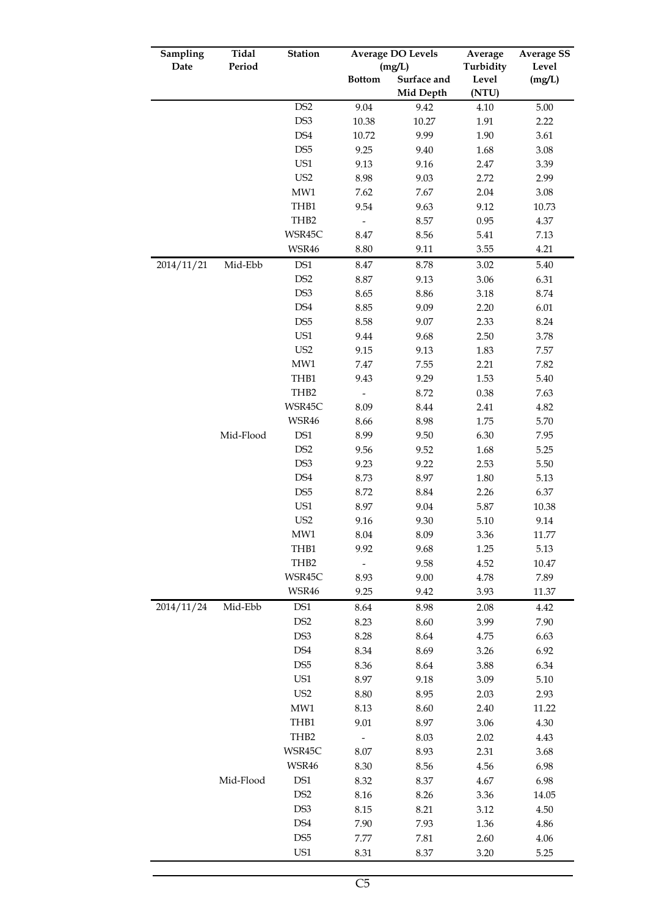| Sampling   | Tidal     | <b>Station</b>   |                              | <b>Average DO Levels</b> |                | <b>Average SS</b> |  |
|------------|-----------|------------------|------------------------------|--------------------------|----------------|-------------------|--|
| Date       | Period    |                  |                              | (mg/L)                   | Turbidity      | Level             |  |
|            |           |                  | <b>Bottom</b>                | Surface and<br>Mid Depth | Level<br>(NTU) | (mg/L)            |  |
|            |           | DS <sub>2</sub>  | 9.04                         | 9.42                     | 4.10           | 5.00              |  |
|            |           | DS3              | 10.38                        | 10.27                    | 1.91           | 2.22              |  |
|            |           | DS4              | 10.72                        | 9.99                     | 1.90           | 3.61              |  |
|            |           | DS <sub>5</sub>  | 9.25                         | 9.40                     | 1.68           | 3.08              |  |
|            |           | US1              | 9.13                         | 9.16                     | 2.47           | 3.39              |  |
|            |           | US <sub>2</sub>  | 8.98                         | 9.03                     | 2.72           | 2.99              |  |
|            |           | MW1              | 7.62                         | 7.67                     | 2.04           | 3.08              |  |
|            |           | THB1             | 9.54                         | 9.63                     | 9.12           | 10.73             |  |
|            |           | THB <sub>2</sub> | $\qquad \qquad \blacksquare$ | 8.57                     | 0.95           | 4.37              |  |
|            |           | WSR45C           | 8.47                         | 8.56                     | 5.41           | 7.13              |  |
|            |           | WSR46            | 8.80                         | 9.11                     | 3.55           | 4.21              |  |
| 2014/11/21 | Mid-Ebb   | DS1              | 8.47                         | 8.78                     | 3.02           |                   |  |
|            |           | DS <sub>2</sub>  | 8.87                         | 9.13                     | 3.06           | 5.40<br>6.31      |  |
|            |           | DS3              |                              |                          | 3.18           | 8.74              |  |
|            |           | DS4              | 8.65<br>8.85                 | 8.86<br>9.09             |                | 6.01              |  |
|            |           | DS <sub>5</sub>  | 8.58                         | 9.07                     | 2.20<br>2.33   | 8.24              |  |
|            |           | US1              | 9.44                         | 9.68                     | 2.50           | 3.78              |  |
|            |           | US <sub>2</sub>  | 9.15                         | 9.13                     | 1.83           | 7.57              |  |
|            |           | MW1              | 7.47                         | 7.55                     | 2.21           | 7.82              |  |
|            |           | THB1             | 9.43                         | 9.29                     | 1.53           | 5.40              |  |
|            |           | THB2             |                              | 8.72                     | 0.38           | 7.63              |  |
|            |           | WSR45C           | 8.09                         | 8.44                     | 2.41           | 4.82              |  |
|            |           | WSR46            | 8.66                         | 8.98                     | 1.75           | 5.70              |  |
|            | Mid-Flood | DS1              | 8.99                         | 9.50                     | 6.30           | 7.95              |  |
|            |           | DS <sub>2</sub>  | 9.56                         | 9.52                     | 1.68           | 5.25              |  |
|            |           | DS3              | 9.23                         | 9.22                     | 2.53           | 5.50              |  |
|            |           | DS4              | 8.73                         | 8.97                     | 1.80           | 5.13              |  |
|            |           | DS <sub>5</sub>  | 8.72                         | 8.84                     | 2.26           | 6.37              |  |
|            |           | US1              | 8.97                         | 9.04                     | 5.87           | 10.38             |  |
|            |           | US <sub>2</sub>  | 9.16                         | 9.30                     | 5.10           | 9.14              |  |
|            |           | MW1              | 8.04                         | 8.09                     | 3.36           | 11.77             |  |
|            |           | THB1             | 9.92                         | 9.68                     | 1.25           | 5.13              |  |
|            |           | THB <sub>2</sub> |                              | 9.58                     | 4.52           | 10.47             |  |
|            |           | WSR45C           | 8.93                         | 9.00                     | 4.78           | 7.89              |  |
|            |           | WSR46            | 9.25                         | 9.42                     | 3.93           | 11.37             |  |
| 2014/11/24 | Mid-Ebb   | DS1              | 8.64                         | 8.98                     | 2.08           | 4.42              |  |
|            |           | DS <sub>2</sub>  | 8.23                         | 8.60                     | 3.99           | 7.90              |  |
|            |           | DS3              | 8.28                         | 8.64                     | 4.75           | 6.63              |  |
|            |           | DS4              | 8.34                         | 8.69                     | 3.26           | 6.92              |  |
|            |           | DS <sub>5</sub>  | 8.36                         | 8.64                     | 3.88           | 6.34              |  |
|            |           | US1              | 8.97                         | 9.18                     | 3.09           | 5.10              |  |
|            |           | US <sub>2</sub>  | 8.80                         | 8.95                     | 2.03           | 2.93              |  |
|            |           | MW1              | 8.13                         | 8.60                     | 2.40           | 11.22             |  |
|            |           | THB1             | 9.01                         | 8.97                     | 3.06           | 4.30              |  |
|            |           | THB2             | ÷,                           | 8.03                     | 2.02           | 4.43              |  |
|            |           | WSR45C           | 8.07                         | 8.93                     | 2.31           | 3.68              |  |
|            |           | WSR46            | 8.30                         | 8.56                     | 4.56           | 6.98              |  |
|            | Mid-Flood | DS1              | 8.32                         | 8.37                     | 4.67           | 6.98              |  |
|            |           | DS <sub>2</sub>  |                              |                          |                |                   |  |
|            |           | DS3              | 8.16                         | 8.26                     | 3.36           | 14.05             |  |
|            |           | DS4              | 8.15                         | 8.21                     | 3.12           | 4.50              |  |
|            |           |                  | 7.90                         | 7.93                     | 1.36           | 4.86              |  |
|            |           | DS <sub>5</sub>  | 7.77                         | 7.81                     | 2.60           | 4.06              |  |
|            |           | US1              | 8.31                         | 8.37                     | 3.20           | 5.25              |  |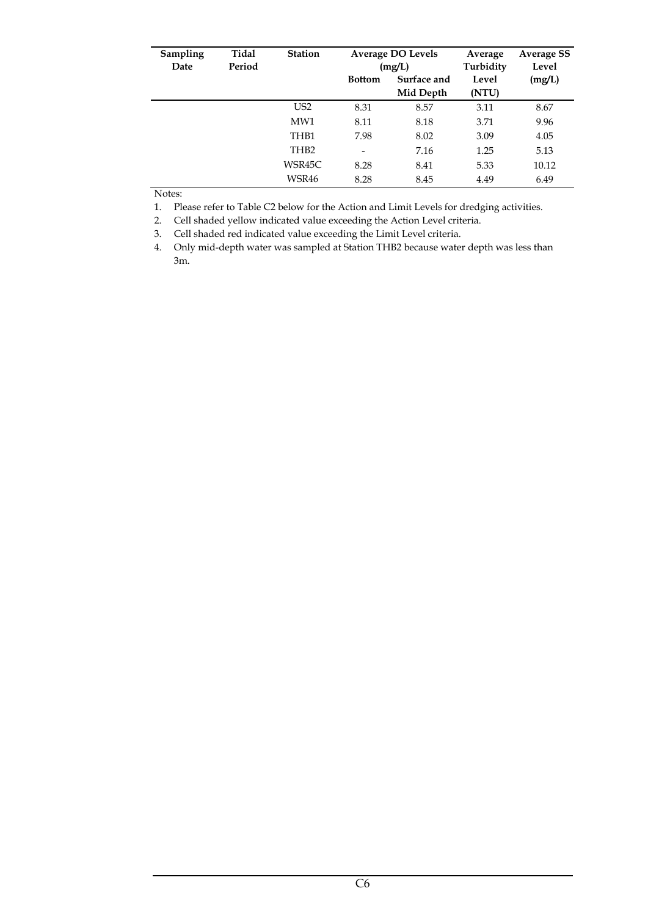| Sampling<br>Date | Tidal<br>Period | <b>Station</b>   |                                           | <b>Average DO Levels</b><br>(mg/L) | Average<br>Turbidity | <b>Average SS</b><br>Level |
|------------------|-----------------|------------------|-------------------------------------------|------------------------------------|----------------------|----------------------------|
|                  |                 |                  | Surface and<br><b>Bottom</b><br>Mid Depth |                                    | Level<br>(NTU)       | (mg/L)                     |
|                  |                 | US <sub>2</sub>  | 8.31                                      | 8.57                               | 3.11                 | 8.67                       |
|                  |                 | MW1              | 8.11                                      | 8.18                               | 3.71                 | 9.96                       |
|                  |                 | TH <sub>B1</sub> | 7.98                                      | 8.02                               | 3.09                 | 4.05                       |
|                  |                 | TH <sub>B2</sub> | $\overline{\phantom{0}}$                  | 7.16                               | 1.25                 | 5.13                       |
|                  |                 | WSR45C           | 8.28                                      | 8.41                               | 5.33                 | 10.12                      |
|                  |                 | WSR46            | 8.28                                      | 8.45                               | 4.49                 | 6.49                       |

Notes:

1. Please refer to Table C2 below for the Action and Limit Levels for dredging activities.

2. Cell shaded yellow indicated value exceeding the Action Level criteria.

3. Cell shaded red indicated value exceeding the Limit Level criteria.

4. Only mid-depth water was sampled at Station THB2 because water depth was less than 3m.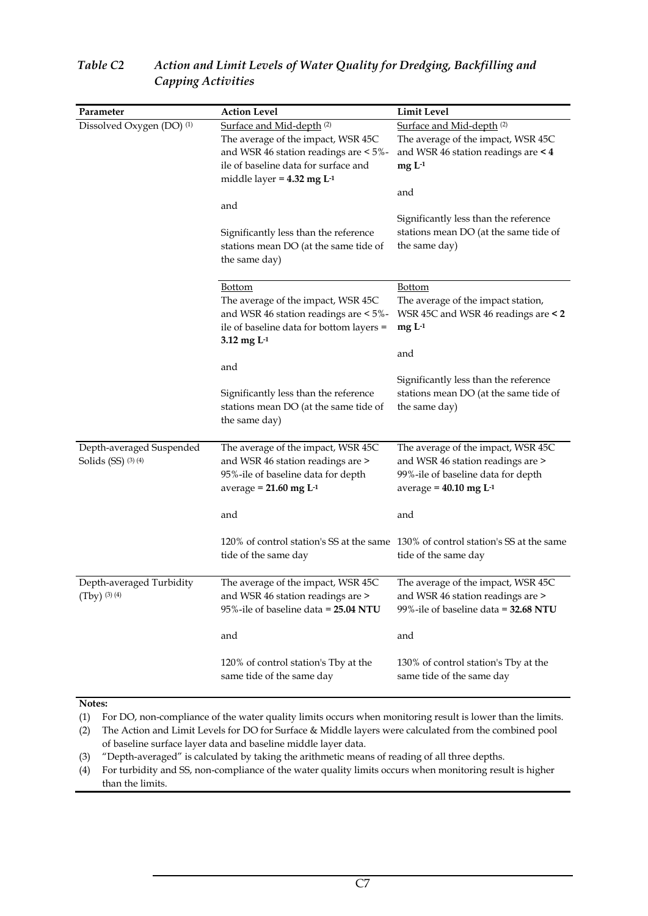| Parameter                                       | <b>Action Level</b>                                                                                                                                                                                            | <b>Limit Level</b>                                                                                                                                    |
|-------------------------------------------------|----------------------------------------------------------------------------------------------------------------------------------------------------------------------------------------------------------------|-------------------------------------------------------------------------------------------------------------------------------------------------------|
| Dissolved Oxygen (DO) <sup>(1)</sup>            | Surface and Mid-depth <sup>(2)</sup><br>The average of the impact, WSR 45C<br>and WSR 46 station readings are < 5%-<br>ile of baseline data for surface and<br>middle layer = $4.32$ mg L <sup>-1</sup><br>and | Surface and Mid-depth <sup>(2)</sup><br>The average of the impact, WSR 45C<br>and WSR 46 station readings are < 4<br>$mgL-1$<br>and                   |
|                                                 | Significantly less than the reference<br>stations mean DO (at the same tide of<br>the same day)                                                                                                                | Significantly less than the reference<br>stations mean DO (at the same tide of<br>the same day)                                                       |
|                                                 | <b>Bottom</b><br>The average of the impact, WSR 45C<br>and WSR 46 station readings are < 5%-<br>ile of baseline data for bottom layers =<br>$3.12$ mg $L-1$                                                    | <b>Bottom</b><br>The average of the impact station,<br>WSR 45C and WSR 46 readings are < 2<br>$mgL-1$                                                 |
|                                                 | and<br>Significantly less than the reference<br>stations mean DO (at the same tide of<br>the same day)                                                                                                         | and<br>Significantly less than the reference<br>stations mean DO (at the same tide of<br>the same day)                                                |
| Depth-averaged Suspended<br>Solids (SS) (3) (4) | The average of the impact, WSR 45C<br>and WSR 46 station readings are ><br>95%-ile of baseline data for depth<br>average = $21.60$ mg L <sup>-1</sup>                                                          | The average of the impact, WSR 45C<br>and WSR 46 station readings are ><br>99%-ile of baseline data for depth<br>average = $40.10$ mg L <sup>-1</sup> |
|                                                 | and                                                                                                                                                                                                            | and                                                                                                                                                   |
|                                                 | tide of the same day                                                                                                                                                                                           | 120% of control station's SS at the same 130% of control station's SS at the same<br>tide of the same day                                             |
| Depth-averaged Turbidity<br>$(Tby)$ (3) (4)     | The average of the impact, WSR 45C<br>and WSR 46 station readings are ><br>95%-ile of baseline data = 25.04 NTU                                                                                                | The average of the impact, WSR 45C<br>and WSR 46 station readings are ><br>99%-ile of baseline data = 32.68 NTU                                       |
|                                                 | and                                                                                                                                                                                                            | and                                                                                                                                                   |
|                                                 | 120% of control station's Tby at the<br>same tide of the same day                                                                                                                                              | 130% of control station's Tby at the<br>same tide of the same day                                                                                     |
| Notes:                                          |                                                                                                                                                                                                                |                                                                                                                                                       |

## *Table C2 Action and Limit Levels of Water Quality for Dredging, Backfilling and Capping Activities*

(1) For DO, non-compliance of the water quality limits occurs when monitoring result is lower than the limits.

(2) The Action and Limit Levels for DO for Surface & Middle layers were calculated from the combined pool of baseline surface layer data and baseline middle layer data.

(3) "Depth-averaged" is calculated by taking the arithmetic means of reading of all three depths.

(4) For turbidity and SS, non-compliance of the water quality limits occurs when monitoring result is higher than the limits.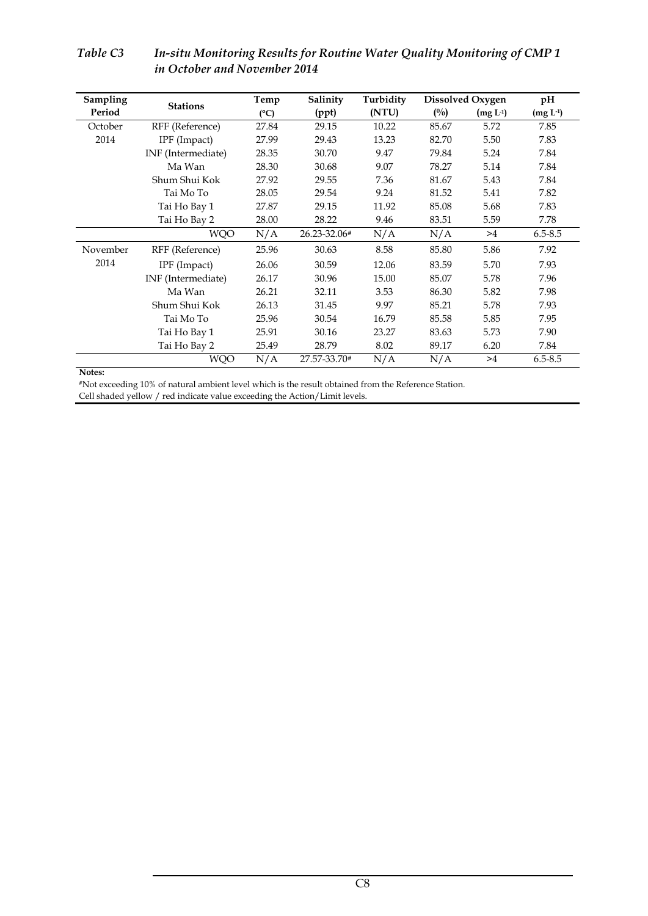| Sampling | <b>Stations</b>    | Temp  | Salinity     | Turbidity | <b>Dissolved Oxygen</b> | pH         |             |
|----------|--------------------|-------|--------------|-----------|-------------------------|------------|-------------|
| Period   |                    | (C)   | (ppt)        | (NTU)     | $(^{0}/_{0})$           | $(mg L-1)$ | $(mg L-1)$  |
| October  | RFF (Reference)    | 27.84 | 29.15        | 10.22     | 85.67                   | 5.72       | 7.85        |
| 2014     | IPF (Impact)       | 27.99 | 29.43        | 13.23     | 82.70                   | 5.50       | 7.83        |
|          | INF (Intermediate) | 28.35 | 30.70        | 9.47      | 79.84                   | 5.24       | 7.84        |
|          | Ma Wan             | 28.30 | 30.68        | 9.07      | 78.27                   | 5.14       | 7.84        |
|          | Shum Shui Kok      | 27.92 | 29.55        | 7.36      | 81.67                   | 5.43       | 7.84        |
|          | Tai Mo To          | 28.05 | 29.54        | 9.24      | 81.52                   | 5.41       | 7.82        |
|          | Tai Ho Bay 1       | 27.87 | 29.15        | 11.92     | 85.08                   | 5.68       | 7.83        |
|          | Tai Ho Bay 2       | 28.00 | 28.22        | 9.46      | 83.51                   | 5.59       | 7.78        |
|          | <b>WQO</b>         | N/A   | 26.23-32.06# | N/A       | N/A                     | >4         | $6.5 - 8.5$ |
| November | RFF (Reference)    | 25.96 | 30.63        | 8.58      | 85.80                   | 5.86       | 7.92        |
| 2014     | IPF (Impact)       | 26.06 | 30.59        | 12.06     | 83.59                   | 5.70       | 7.93        |
|          | INF (Intermediate) | 26.17 | 30.96        | 15.00     | 85.07                   | 5.78       | 7.96        |
|          | Ma Wan             | 26.21 | 32.11        | 3.53      | 86.30                   | 5.82       | 7.98        |
|          | Shum Shui Kok      | 26.13 | 31.45        | 9.97      | 85.21                   | 5.78       | 7.93        |
|          | Tai Mo To          | 25.96 | 30.54        | 16.79     | 85.58                   | 5.85       | 7.95        |
|          | Tai Ho Bay 1       | 25.91 | 30.16        | 23.27     | 83.63                   | 5.73       | 7.90        |
|          | Tai Ho Bay 2       | 25.49 | 28.79        | 8.02      | 89.17                   | 6.20       | 7.84        |
|          | <b>WQO</b>         | N/A   | 27.57-33.70# | N/A       | N/A                     | >4         | $6.5 - 8.5$ |

## *Table C3 In-situ Monitoring Results for Routine Water Quality Monitoring of CMP 1 in October and November 2014*

**Notes:** 

#Not exceeding 10% of natural ambient level which is the result obtained from the Reference Station. Cell shaded yellow / red indicate value exceeding the Action/Limit levels.